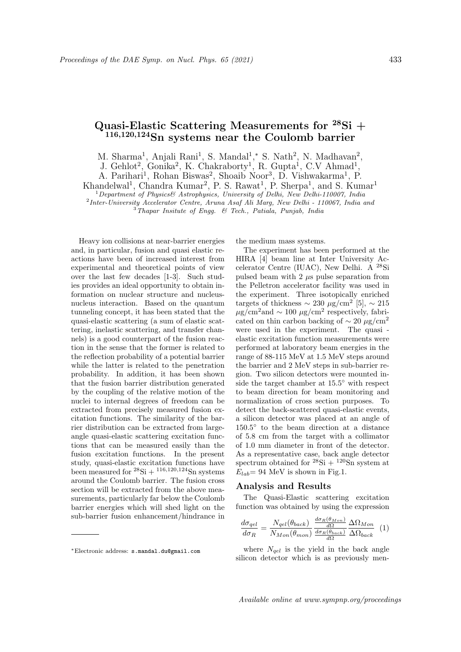## Quasi-Elastic Scattering Measurements for  ${}^{28}\text{Si}$  +  $116,120,124$ Sn systems near the Coulomb barrier

M. Sharma<sup>1</sup>, Anjali Rani<sup>1</sup>, S. Mandal<sup>1</sup>,\* S. Nath<sup>2</sup>, N. Madhavan<sup>2</sup>,

J. Gehlot<sup>2</sup>, Gonika<sup>2</sup>, K. Chakraborty<sup>1</sup>, R. Gupta<sup>1</sup>, C.V Ahmad<sup>1</sup>,

A. Parihari<sup>1</sup>, Rohan Biswas<sup>2</sup>, Shoaib Noor<sup>3</sup>, D. Vishwakarma<sup>1</sup>, P.

Khandelwal<sup>1</sup>, Chandra Kumar<sup>2</sup>, P. S. Rawat<sup>1</sup>, P. Sherpa<sup>1</sup>, and S. Kumar<sup>1</sup>

 $1$ Department of Physics& Astrophysics, University of Delhi, New Delhi-110007, India

<sup>2</sup> Inter-University Accelerator Centre, Aruna Asaf Ali Marg, New Delhi - 110067, India and <sup>3</sup>Thapar Insitute of Engg. & Tech., Patiala, Punjab, India

Heavy ion collisions at near-barrier energies and, in particular, fusion and quasi elastic reactions have been of increased interest from experimental and theoretical points of view over the last few decades [1-3]. Such studies provides an ideal opportunity to obtain information on nuclear structure and nucleusnucleus interaction. Based on the quantum tunneling concept, it has been stated that the quasi-elastic scattering (a sum of elastic scattering, inelastic scattering, and transfer channels) is a good counterpart of the fusion reaction in the sense that the former is related to the reflection probability of a potential barrier while the latter is related to the penetration probability. In addition, it has been shown that the fusion barrier distribution generated by the coupling of the relative motion of the nuclei to internal degrees of freedom can be extracted from precisely measured fusion excitation functions. The similarity of the barrier distribution can be extracted from largeangle quasi-elastic scattering excitation functions that can be measured easily than the fusion excitation functions. In the present study, quasi-elastic excitation functions have been measured for  ${}^{28}\text{Si} + {}^{116,120,124}\text{Sn}$  systems around the Coulomb barrier. The fusion cross section will be extracted from the above measurements, particularly far below the Coulomb barrier energies which will shed light on the sub-barrier fusion enhancement/hindrance in the medium mass systems.

The experiment has been performed at the HIRA [4] beam line at Inter University Accelerator Centre (IUAC), New Delhi. A <sup>28</sup>Si pulsed beam with  $2 \mu s$  pulse separation from the Pelletron accelerator facility was used in the experiment. Three isotopically enriched targets of thickness  $\sim$  230 μg/cm<sup>2</sup> [5],  $\sim$  215  $\mu$ g/cm<sup>2</sup> and ~ 100  $\mu$ g/cm<sup>2</sup> respectively, fabricated on thin carbon backing of  $\sim 20 \ \mu g/cm^2$ were used in the experiment. The quasi elastic excitation function measurements were performed at laboratory beam energies in the range of 88-115 MeV at 1.5 MeV steps around the barrier and 2 MeV steps in sub-barrier region. Two silicon detectors were mounted inside the target chamber at 15.5◦ with respect to beam direction for beam monitoring and normalization of cross section purposes. To detect the back-scattered quasi-elastic events, a silicon detector was placed at an angle of 150.5◦ to the beam direction at a distance of 5.8 cm from the target with a collimator of 1.0 mm diameter in front of the detector. As a representative case, back angle detector spectrum obtained for  $^{28}\text{Si} + ^{120}\text{Sn}$  system at  $E_{lab}$  = 94 MeV is shown in Fig.1.

## Analysis and Results

The Quasi-Elastic scattering excitation function was obtained by using the expression

$$
\frac{d\sigma_{qel}}{d\sigma_R} = \frac{N_{qel}(\theta_{back})}{N_{Mon}(\theta_{mon})} \frac{\frac{d\sigma_R(\theta_{Mon})}{d\Omega}}{\frac{d\sigma_R(\theta_{back})}{d\Omega}} \frac{\Delta\Omega_{Mon}}{\Delta\Omega_{back}} \tag{1}
$$

dσR(θMon)

where  $N_{gel}$  is the yield in the back angle silicon detector which is as previously men-

<sup>∗</sup>Electronic address: s.mandal.du@gmail.com